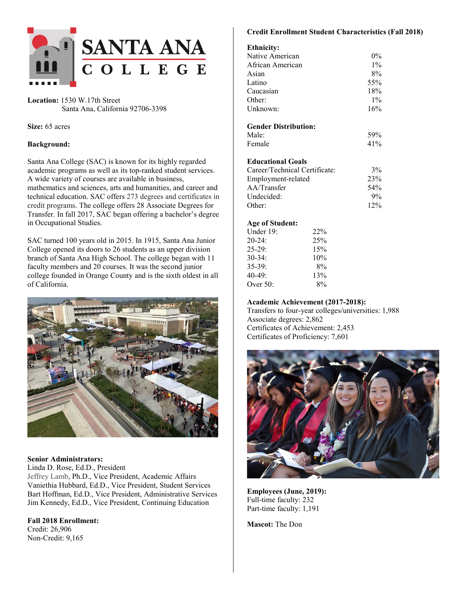

**Location:** 1530 W.17th Street Santa Ana, California 92706-3398

**Size:** 65 acres

#### **Background:**

Santa Ana College (SAC) is known for its highly regarded academic programs as well as its top-ranked student services. A wide variety of courses are available in business, mathematics and sciences, arts and humanities, and career and technical education. SAC offers 273 degrees and certificates in credit programs. The college offers 28 Associate Degrees for Transfer. In fall 2017, SAC began offering a bachelor's degree in Occupational Studies.

SAC turned 100 years old in 2015. In 1915, Santa Ana Junior College opened its doors to 26 students as an upper division branch of Santa Ana High School. The college began with 11 faculty members and 20 courses. It was the second junior college founded in Orange County and is the sixth oldest in all of California.



#### **Senior Administrators:**

Linda D. Rose, Ed.D., President Jeffrey Lamb, Ph.D., Vice President, Academic Affairs Vaniethia Hubbard, Ed.D., Vice President, Student Services Bart Hoffman, Ed.D., Vice President, Administrative Services Jim Kennedy, Ed.D., Vice President, Continuing Education

## **Fall 2018 Enrollment:**

Credit: 26,906 Non-Credit: 9,165

#### **Credit Enrollment Student Characteristics (Fall 2018)**

# **Eth**  $\cdot$   $\cdot$

| епшену:                       |       |
|-------------------------------|-------|
| Native American               | $0\%$ |
| African American              | $1\%$ |
| Asian                         | 8%    |
| Latino                        | 55%   |
| Caucasian                     | 18%   |
| Other:                        | $1\%$ |
| Unknown:                      | 16%   |
| <b>Gender Distribution:</b>   |       |
| Male:                         | 59%   |
| Female                        | 41%   |
| <b>Educational Goals</b>      |       |
| Career/Technical Certificate: | 3%    |
| Employment-related            | 23%   |
| AA/Transfer                   | 54%   |
| Undecided:                    | 9%    |
| Other:                        | 12%   |
|                               |       |

#### **Age of Student:**

| Under 19: | 22% |
|-----------|-----|
| $20-24:$  | 25% |
| $25-29:$  | 15% |
| $30-34:$  | 10% |
| $35-39:$  | 8%  |
| $40-49:$  | 13% |
| Over 50:  | 8%  |
|           |     |

#### **Academic Achievement (2017-2018):**

Transfers to four-year colleges/universities: 1,988 Associate degrees: 2,862 Certificates of Achievement: 2,453 Certificates of Proficiency: 7,601



**Employees (June, 2019):**  Full-time faculty: 232 Part-time faculty: 1,191

**Mascot:** The Don